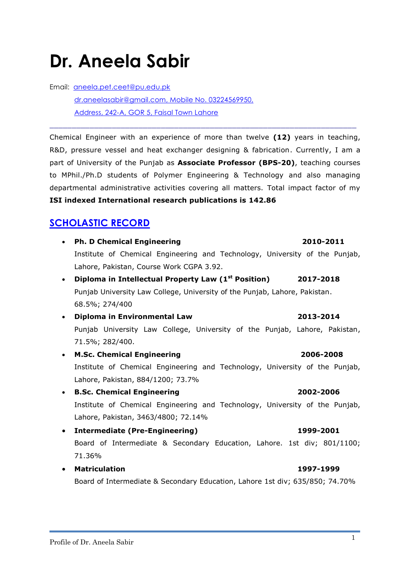# Profile of Dr. Aneela Sabir 1

# **Dr. Aneela Sabir**

Email: [aneela.pet.ceet@pu.edu.pk](mailto:aneela.pet.ceet@pu.edu.pk) [dr.aneelasabir@gmail.com,](mailto:dr.aneelasabir@gmail.com) Mobile No. 03224569950, Address, 242-A, GOR 5, Faisal Town Lahore

Chemical Engineer with an experience of more than twelve **(12)** years in teaching, R&D, pressure vessel and heat exchanger designing & fabrication. Currently, I am a part of University of the Punjab as **Associate Professor (BPS-20)**, teaching courses to MPhil./Ph.D students of Polymer Engineering & Technology and also managing departmental administrative activities covering all matters. Total impact factor of my **ISI indexed International research publications is 142.86**

\_\_\_\_\_\_\_\_\_\_\_\_\_\_\_\_\_\_\_\_\_\_\_\_\_\_\_\_\_\_\_\_\_\_\_\_\_\_\_\_\_\_\_\_\_\_\_\_\_\_\_\_\_\_\_\_\_\_\_\_\_\_\_\_\_\_\_\_\_

# **SCHOLASTIC RECORD**

| $\bullet$ | <b>Ph. D Chemical Engineering</b><br>2010-2011                              |
|-----------|-----------------------------------------------------------------------------|
|           | Institute of Chemical Engineering and Technology, University of the Punjab, |
|           | Lahore, Pakistan, Course Work CGPA 3.92.                                    |
| $\bullet$ | Diploma in Intellectual Property Law (1 <sup>st</sup> Position) 2017-2018   |
|           | Punjab University Law College, University of the Punjab, Lahore, Pakistan.  |
|           | 68.5%; 274/400                                                              |
| $\bullet$ | Diploma in Environmental Law<br>2013-2014                                   |
|           | Punjab University Law College, University of the Punjab, Lahore, Pakistan,  |
|           | 71.5%; 282/400.                                                             |
| $\bullet$ | <b>M.Sc. Chemical Engineering</b><br>2006-2008                              |
|           | Institute of Chemical Engineering and Technology, University of the Punjab, |
|           | Lahore, Pakistan, 884/1200; 73.7%                                           |
| $\bullet$ | <b>B.Sc. Chemical Engineering</b><br>2002-2006                              |
|           | Institute of Chemical Engineering and Technology, University of the Punjab, |
|           | Lahore, Pakistan, 3463/4800; 72.14%                                         |
| $\bullet$ | <b>Intermediate (Pre-Engineering)</b><br>1999-2001                          |
|           | Board of Intermediate & Secondary Education, Lahore. 1st div; 801/1100;     |
|           | 71.36%                                                                      |
| $\bullet$ | <b>Matriculation</b><br>1997-1999                                           |

Board of Intermediate & Secondary Education, Lahore 1st div; 635/850; 74.70%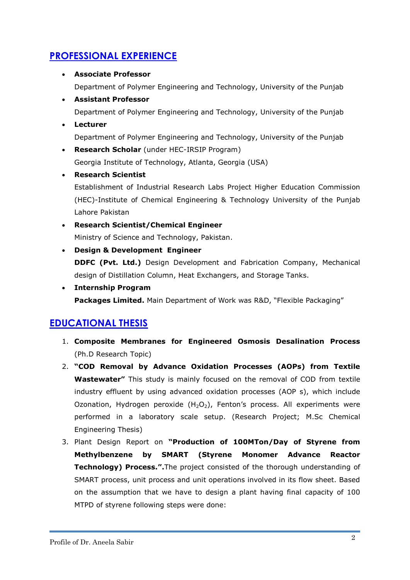# **PROFESSIONAL EXPERIENCE**

#### **Associate Professor**

Department of Polymer Engineering and Technology, University of the Punjab

**Assistant Professor**

Department of Polymer Engineering and Technology, University of the Punjab

**Lecturer**

Department of Polymer Engineering and Technology, University of the Punjab

- **Research Scholar** (under HEC-IRSIP Program) Georgia Institute of Technology, Atlanta, Georgia (USA)
- **Research Scientist**

Establishment of Industrial Research Labs Project Higher Education Commission (HEC)-Institute of Chemical Engineering & Technology University of the Punjab Lahore Pakistan

- **Research Scientist/Chemical Engineer** Ministry of Science and Technology, Pakistan.
- **Design & Development Engineer**

**DDFC (Pvt. Ltd.)** Design Development and Fabrication Company, Mechanical design of Distillation Column, Heat Exchangers, and Storage Tanks.

 **Internship Program Packages Limited.** Main Department of Work was R&D, "Flexible Packaging"

# **EDUCATIONAL THESIS**

- 1. **Composite Membranes for Engineered Osmosis Desalination Process** (Ph.D Research Topic)
- 2. **"COD Removal by Advance Oxidation Processes (AOPs) from Textile Wastewater"** This study is mainly focused on the removal of COD from textile industry effluent by using advanced oxidation processes (AOP s), which include Ozonation, Hydrogen peroxide  $(H_2O_2)$ , Fenton's process. All experiments were performed in a laboratory scale setup. (Research Project; M.Sc Chemical Engineering Thesis)
- 3. Plant Design Report on **"Production of 100MTon/Day of Styrene from Methylbenzene by SMART (Styrene Monomer Advance Reactor Technology) Process.".**The project consisted of the thorough understanding of SMART process, unit process and unit operations involved in its flow sheet. Based on the assumption that we have to design a plant having final capacity of 100 MTPD of styrene following steps were done: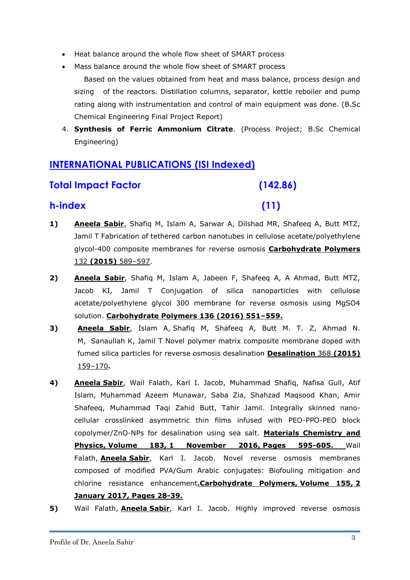- Heat balance around the whole flow sheet of SMART process
- Mass balance around the whole flow sheet of SMART process
	- Based on the values obtained from heat and mass balance, process design and sizing of the reactors. Distillation columns, separator, kettle reboiler and pump rating along with instrumentation and control of main equipment was done. (B.Sc Chemical Engineering Final Project Report)
- 4. **Synthesis of Ferric Ammonium Citrate**. (Process Project; B.Sc Chemical Engineering)

# **INTERNATIONAL PUBLICATIONS (ISI Indexed)**

## **Total Impact Factor (142.86)**

## **h-index (11)**

- **1) Aneela Sabir**, Shafiq M, Islam A, Sarwar A, Dilshad MR, Shafeeq A, Butt MTZ, Jamil T Fabrication of tethered carbon nanotubes in cellulose acetate/polyethylene glycol-400 composite membranes for reverse osmosis **Carbohydrate Polymers**  132 **(2015)** 589–597.
- **2) Aneela Sabir**, Shafiq M, Islam A, Jabeen F, Shafeeq A, A Ahmad, Butt MTZ, Jacob KI, Jamil T Conjugation of silica nanoparticles with cellulose acetate/polyethylene glycol 300 membrane for reverse osmosis using MgSO4 solution. **Carbohydrate Polymers 136 (2016) 551–559.**
- **3) Aneela Sabir**, Islam A, Shafiq M, Shafeeq A, Butt M. T. Z, Ahmad N. M, Sanaullah K, Jamil T Novel polymer matrix composite membrane doped with fumed silica particles for reverse osmosis desalination **Desalination** 368 **(2015)**  159–170**.**
- **4) Aneela Sabir**, Wail Falath, Karl I. Jacob, Muhammad Shafiq, Nafisa Gull, Atif Islam, Muhammad Azeem Munawar, Saba Zia, Shahzad Maqsood Khan, Amir Shafeeq, Muhammad Taqi Zahid Butt, Tahir Jamil. [Integrally skinned nano](http://www.sciencedirect.com/science/article/pii/S0254058416306848)[cellular crosslinked asymmetric thin films infused with PEO-PPO-PEO block](http://www.sciencedirect.com/science/article/pii/S0254058416306848)  [copolymer/ZnO-NPs for desalination using sea salt.](http://www.sciencedirect.com/science/article/pii/S0254058416306848) **Materials Chemistry and Physics, Volume 183, 1 November 2016, Pages 595-605.** Wail Falath, **Aneela Sabir**, Karl I. Jacob. [Novel reverse osmosis membranes](http://www.sciencedirect.com/science/article/pii/S0144861716310001)  [composed of modified PVA/Gum Arabic conjugates: Biofouling mitigation and](http://www.sciencedirect.com/science/article/pii/S0144861716310001)  [chlorine resistance enhancement](http://www.sciencedirect.com/science/article/pii/S0144861716310001)**.Carbohydrate Polymers, Volume 155, 2 January 2017, Pages 28-39.**
- **5)** Wail Falath, **Aneela Sabir**, Karl I. Jacob. Highly improved reverse osmosis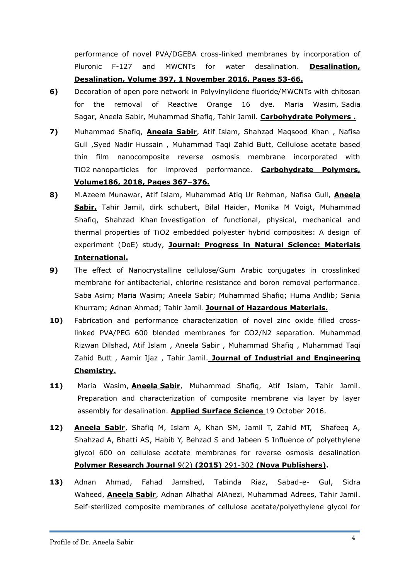performance of novel PVA/DGEBA cross-linked membranes by incorporation of Pluronic F-127 and MWCNTs for water desalination. **Desalination, Desalination, Volume 397, 1 November 2016, Pages 53-66.** 

- **6)** Decoration of open pore network in Polyvinylidene fluoride/MWCNTs with chitosan for the removal of Reactive Orange 16 dye. Maria Wasim, Sadia Sagar, Aneela Sabir, Muhammad Shafiq, Tahir Jamil. **Carbohydrate Polymers .**
- **7)** Muhammad Shafiq, **Aneela Sabir**, Atif Islam, Shahzad Maqsood Khan , Nafisa Gull ,Syed Nadir Hussain , Muhammad Taqi Zahid Butt, Cellulose acetate based thin film nanocomposite reverse osmosis membrane incorporated with TiO2 nanoparticles for improved performance. **Carbohydrate Polymers, Volume186, 2018, Pages 367–376.**
- **8)** M.Azeem Munawar, Atif Islam, Muhammad Atiq Ur Rehman, Nafisa Gull, **Aneela Sabir,** Tahir Jamil, dirk schubert, Bilal Haider, Monika M Voigt, Muhammad Shafiq, Shahzad Khan Investigation of functional, physical, mechanical and thermal properties of TiO2 embedded polyester hybrid composites: A design of experiment (DoE) study, **Journal: Progress in Natural Science: Materials International.**
- **9)** The effect of Nanocrystalline cellulose/Gum Arabic conjugates in crosslinked membrane for antibacterial, chlorine resistance and boron removal performance. Saba Asim; Maria Wasim; Aneela Sabir; Muhammad Shafiq; Huma Andlib; Sania Khurram; Adnan Ahmad; Tahir Jamil. **Journal of Hazardous Materials.**
- **10)** Fabrication and performance characterization of novel zinc oxide filled crosslinked PVA/PEG 600 blended membranes for CO2/N2 separation. Muhammad Rizwan Dilshad, Atif Islam , Aneela Sabir , Muhammad Shafiq , Muhammad Taqi Zahid Butt , Aamir Ijaz , Tahir Jamil. **Journal of Industrial and Engineering Chemistry.**
- **11)** Maria Wasim, **Aneela Sabir**, Muhammad Shafiq, Atif Islam, Tahir Jamil. [Preparation and characterization of composite membrane via layer by layer](http://www.sciencedirect.com/science/article/pii/S0169433216322140)  [assembly for desalination.](http://www.sciencedirect.com/science/article/pii/S0169433216322140) **Applied Surface Science** 19 October 2016.
- **12) Aneela Sabir**, Shafiq M, Islam A, Khan SM, Jamil T, Zahid MT, Shafeeq A, Shahzad A, Bhatti AS, Habib Y, Behzad S and Jabeen S Influence of polyethylene glycol 600 on cellulose acetate membranes for reverse osmosis desalination **Polymer Research Journal** 9(2) **(2015)** 291-302 **(Nova Publishers).**
- **13)** Adnan Ahmad, Fahad Jamshed, Tabinda Riaz, Sabad-e- Gul, Sidra Waheed, **Aneela Sabir**, Adnan Alhathal AlAnezi, Muhammad Adrees, Tahir Jamil. [Self-sterilized composite membranes of cellulose acetate/polyethylene glycol for](http://www.sciencedirect.com/science/article/pii/S0144861716304817)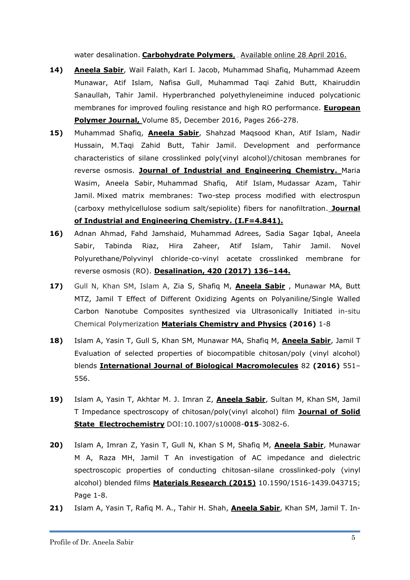[water desalination.](http://www.sciencedirect.com/science/article/pii/S0144861716304817) **Carbohydrate Polymers**, , Available online 28 April 2016.

- **14) Aneela Sabir**, Wail Falath, Karl I. Jacob, Muhammad Shafiq, Muhammad Azeem Munawar, Atif Islam, Nafisa Gull, Muhammad Taqi Zahid Butt, Khairuddin Sanaullah, Tahir Jamil. [Hyperbranched polyethyleneimine induced polycationic](http://www.sciencedirect.com/science/article/pii/S0014305716308989)  [membranes for improved fouling resistance and high RO performance.](http://www.sciencedirect.com/science/article/pii/S0014305716308989) **European Polymer Journal,** Volume 85, December 2016, Pages 266-278.
- **15)** Muhammad Shafiq, **Aneela Sabir**, Shahzad Maqsood Khan, Atif Islam, Nadir Hussain, M.Taqi Zahid Butt, Tahir Jamil. Development and performance characteristics of silane crosslinked poly(vinyl alcohol)/chitosan membranes for reverse osmosis. **Journal of Industrial and Engineering Chemistry.** [Maria](http://www.sciencedirect.com/science/article/pii/S1226086X17300734)  [Wasim,](http://www.sciencedirect.com/science/article/pii/S1226086X17300734) [Aneela Sabir,](http://www.sciencedirect.com/science/article/pii/S1226086X17300734) [Muhammad Shafiq,](http://www.sciencedirect.com/science/article/pii/S1226086X17300734) [Atif Islam,](http://www.sciencedirect.com/science/article/pii/S1226086X17300734) [Mudassar Azam,](http://www.sciencedirect.com/science/article/pii/S1226086X17300734) [Tahir](http://www.sciencedirect.com/science/article/pii/S1226086X17300734)  [Jamil.](http://www.sciencedirect.com/science/article/pii/S1226086X17300734) Mixed matrix membranes: Two-step process modified with electrospun (carboxy methylcellulose sodium salt/sepiolite) fibers for nanofiltration. **Journal of Industrial and Engineering Chemistry. (I.F=4.841).**
- **16)** Adnan Ahmad, Fahd Jamshaid, Muhammad Adrees, Sadia Sagar Iqbal, Aneela Sabir, Tabinda Riaz, Hira Zaheer, Atif Islam, Tahir Jamil. Novel Polyurethane/Polyvinyl chloride-co-vinyl acetate crosslinked membrane for reverse osmosis (RO). **Desalination, 420 (2017) 136–144.**
- **17)** Gull N, Khan SM, Islam A, Zia S, Shafiq M, **Aneela Sabir** , Munawar MA, Butt MTZ, Jamil T Effect of Different Oxidizing Agents on Polyaniline/Single Walled Carbon Nanotube Composites synthesized via Ultrasonically Initiated in-situ Chemical Polymerization **Materials Chemistry and Physics (2016)** 1-8
- **18)** Islam A, Yasin T, Gull S, Khan SM, Munawar MA, Shafiq M, **Aneela Sabir**, Jamil T Evaluation of selected properties of biocompatible chitosan/poly (vinyl alcohol) blends **International Journal of Biological Macromolecules** 82 **(2016)** 551– 556.
- **19)** Islam A, Yasin T, Akhtar M. J. Imran Z, **Aneela Sabir**, Sultan M, Khan SM, Jamil T Impedance spectroscopy of chitosan/poly(vinyl alcohol) film **Journal of Solid State Electrochemistry** DOI:10.1007/s10008-**015**-3082-6.
- **20)** Islam A, Imran Z, Yasin T, Gull N, Khan S M, Shafiq M, **Aneela Sabir**, Munawar M A, Raza MH, Jamil T An investigation of AC impedance and dielectric spectroscopic properties of conducting chitosan-silane crosslinked-poly (vinyl alcohol) blended films **Materials Research (2015)** 10.1590/1516-1439.043715; Page 1-8.
- **21)** Islam A, Yasin T, Rafiq M. A., Tahir H. Shah, **Aneela Sabir**, Khan SM, Jamil T. In-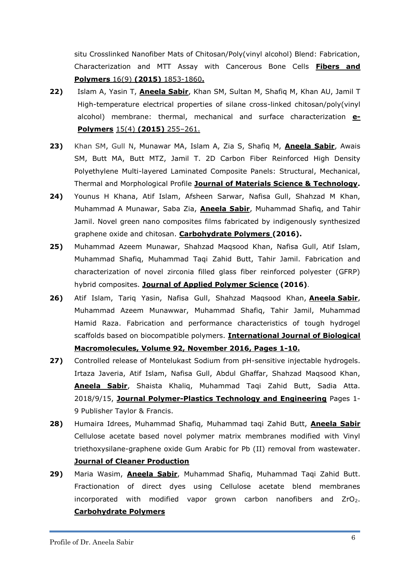situ Crosslinked Nanofiber Mats of Chitosan/Poly(vinyl alcohol) Blend: Fabrication, Characterization and MTT Assay with Cancerous Bone Cells **Fibers and Polymers** 16(9) **(2015)** 1853-1860**.**

- **22)** Islam A, Yasin T, **Aneela Sabir**, Khan SM, Sultan M, Shafiq M, Khan AU, Jamil T High-temperature electrical properties of silane cross-linked chitosan/poly(vinyl alcohol) membrane: thermal, mechanical and surface characterization **e-Polymers** 15(4) **(2015)** 255–261.
- **23)** Khan SM, Gull N, Munawar MA, Islam A, Zia S, Shafiq M, **Aneela Sabir**, Awais SM, Butt MA, Butt MTZ, Jamil T. 2D Carbon Fiber Reinforced High Density Polyethylene Multi-layered Laminated Composite Panels: Structural, Mechanical, Thermal and Morphological Profile **Journal of Materials Science & Technology.**
- **24)** Younus H Khana, Atif Islam, Afsheen Sarwar, Nafisa Gull, Shahzad M Khan, Muhammad A Munawar, Saba Zia, **Aneela Sabir**, Muhammad Shafiq, and Tahir Jamil. Novel green nano composites films fabricated by indigenously synthesized graphene oxide and chitosan. **Carbohydrate Polymers (2016).**
- **25)** Muhammad Azeem Munawar, Shahzad Maqsood Khan, Nafisa Gull, Atif Islam, Muhammad Shafiq, Muhammad Taqi Zahid Butt, Tahir Jamil. Fabrication and characterization of novel zirconia filled glass fiber reinforced polyester (GFRP) hybrid composites. **Journal of Applied Polymer Science (2016)**.
- **26)** Atif Islam, Tariq Yasin, Nafisa Gull, Shahzad Maqsood Khan, **Aneela Sabir**, Muhammad Azeem Munawwar, Muhammad Shafiq, Tahir Jamil, Muhammad Hamid Raza. [Fabrication and performance characteristics of tough hydrogel](http://www.sciencedirect.com/science/article/pii/S0141813016307218)  [scaffolds based on biocompatible polymers.](http://www.sciencedirect.com/science/article/pii/S0141813016307218) **International Journal of Biological Macromolecules, Volume 92, November 2016, Pages 1-10.**
- **27)** Controlled release of Montelukast Sodium from pH-sensitive injectable hydrogels. Irtaza Javeria, Atif Islam, Nafisa Gull, Abdul Ghaffar, Shahzad Maqsood Khan, **Aneela Sabir**, Shaista Khaliq, Muhammad Taqi Zahid Butt, Sadia Atta. 2018/9/15, **Journal Polymer-Plastics Technology and Engineering** Pages 1- 9 Publisher Taylor & Francis.
- **28)** Humaira Idrees, Muhammad Shafiq, Muhammad taqi Zahid Butt, **Aneela Sabir** Cellulose acetate based novel polymer matrix membranes modified with Vinyl triethoxysilane-graphene oxide Gum Arabic for Pb (II) removal from wastewater. **Journal of Cleaner Production**
- **29)** Maria Wasim, **Aneela Sabir**, Muhammad Shafiq, Muhammad Taqi Zahid Butt. Fractionation of direct dyes using Cellulose acetate blend membranes incorporated with modified vapor grown carbon nanofibers and  $ZrO<sub>2</sub>$ . **Carbohydrate Polymers**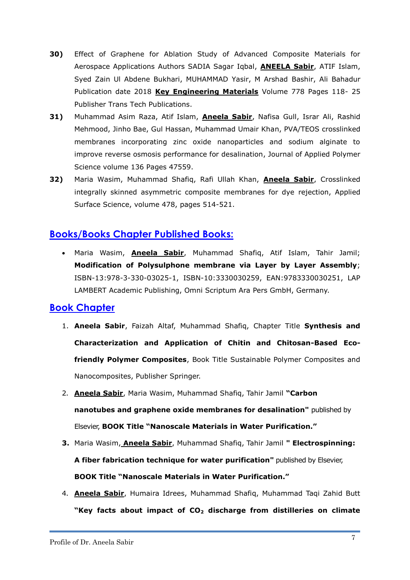- **30)** [Effect of Graphene for Ablation Study of Advanced Composite Materials for](https://www.scientific.net/KEM.778.118)  [Aerospace Applications](https://www.scientific.net/KEM.778.118) Authors SADIA Sagar Iqbal, **ANEELA Sabir**, ATIF Islam, Syed Zain Ul Abdene Bukhari, MUHAMMAD Yasir, M Arshad Bashir, Ali Bahadur Publication date 2018 **Key Engineering Materials** Volume 778 Pages 118- 25 Publisher Trans Tech Publications.
- **31)** Muhammad Asim Raza, Atif Islam, **Aneela Sabir**, Nafisa Gull, Israr Ali, Rashid Mehmood, Jinho Bae, Gul Hassan, Muhammad Umair Khan, [PVA/TEOS crosslinked](https://onlinelibrary.wiley.com/doi/abs/10.1002/app.47559)  [membranes incorporating zinc oxide nanoparticles and sodium alginate to](https://onlinelibrary.wiley.com/doi/abs/10.1002/app.47559)  [improve reverse osmosis performance for desalination,](https://onlinelibrary.wiley.com/doi/abs/10.1002/app.47559) Journal of Applied Polymer Science volume 136 Pages 47559.
- **32)** Maria Wasim, Muhammad Shafiq, Rafi Ullah Khan, **Aneela Sabir**, [Crosslinked](https://www.sciencedirect.com/science/article/pii/S0169433219303186)  [integrally skinned asymmetric composite membranes for dye rejection,](https://www.sciencedirect.com/science/article/pii/S0169433219303186) Applied Surface Science, volume 478, pages 514-521.

# **Books/Books Chapter Published Books:**

 Maria Wasim, **Aneela Sabir**, Muhammad Shafiq, Atif Islam, Tahir Jamil; **Modification of Polysulphone membrane via Layer by Layer Assembly**; ISBN-13:978-3-330-03025-1, ISBN-10:3330030259, EAN:9783330030251, LAP LAMBERT Academic Publishing, Omni Scriptum Ara Pers GmbH, Germany.

## **Book Chapter**

- 1. **Aneela Sabir**, Faizah Altaf, Muhammad Shafiq, Chapter Title **[Synthesis and](https://link.springer.com/chapter/10.1007/978-3-030-05399-4_46)  [Characterization and Application of Chitin and Chitosan-Based Eco](https://link.springer.com/chapter/10.1007/978-3-030-05399-4_46)[friendly Polymer Composites](https://link.springer.com/chapter/10.1007/978-3-030-05399-4_46)**, Book Title Sustainable Polymer Composites and Nanocomposites, Publisher Springer.
- 2. **Aneela Sabir**, Maria Wasim, Muhammad Shafiq, Tahir Jamil **"Carbon nanotubes and graphene oxide membranes for desalination"** published by Elsevier, **BOOK Title "Nanoscale Materials in Water Purification."**
- **3.** Maria Wasim, **Aneela Sabir**, Muhammad Shafiq, Tahir Jamil **" Electrospinning: A fiber fabrication technique for water purification"** published by Elsevier, **BOOK Title "Nanoscale Materials in Water Purification."**
- 4. **Aneela Sabir**, Humaira Idrees, Muhammad Shafiq, Muhammad Taqi Zahid Butt **"Key facts about impact of CO<sup>2</sup> discharge from distilleries on climate**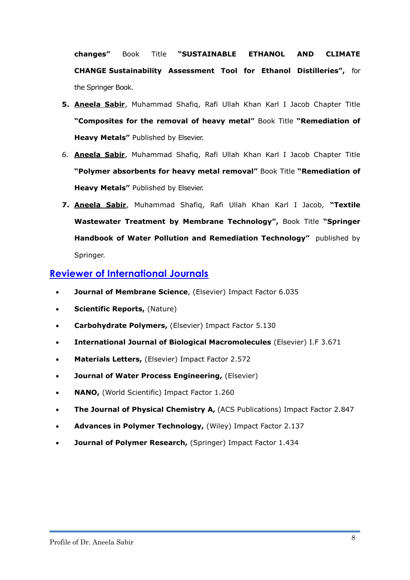**changes"** Book Title **"SUSTAINABLE ETHANOL AND CLIMATE CHANGE Sustainability Assessment Tool for Ethanol Distilleries",** for the Springer Book.

- **5. Aneela Sabir**, Muhammad Shafiq, Rafi Ullah Khan Karl I Jacob Chapter Title **"Composites for the removal of heavy metal"** Book Title **"Remediation of Heavy Metals"** Published by Elsevier.
- 6. **Aneela Sabir**, Muhammad Shafiq, Rafi Ullah Khan Karl I Jacob Chapter Title **"Polymer absorbents for heavy metal removal"** Book Title **"Remediation of Heavy Metals"** Published by Elsevier.
- **7. Aneela Sabir**, Muhammad Shafiq, Rafi Ullah Khan Karl I Jacob, **"Textile Wastewater Treatment by Membrane Technology",** Book Title **"Springer Handbook of Water Pollution and Remediation Technology"** published by Springer.

## **Reviewer of International Journals**

- **Journal of Membrane Science**, (Elsevier) Impact Factor 6.035
- **Scientific Reports, (Nature)**
- **Carbohydrate Polymers,** (Elsevier) Impact Factor 5.130
- **International Journal of Biological Macromolecules** (Elsevier) I.F 3.671
- **Materials Letters,** (Elsevier) Impact Factor 2.572
- **Journal of Water Process Engineering,** (Elsevier)
- **NANO,** [\(World Scientific\)](https://en.wikipedia.org/wiki/World_Scientific) Impact Factor 1.260
- **The Journal of Physical Chemistry A,** (ACS Publications) Impact Factor 2.847
- **Advances in Polymer Technology,** (Wiley) Impact Factor 2.137
- **Journal of Polymer Research,** (Springer) Impact Factor 1.434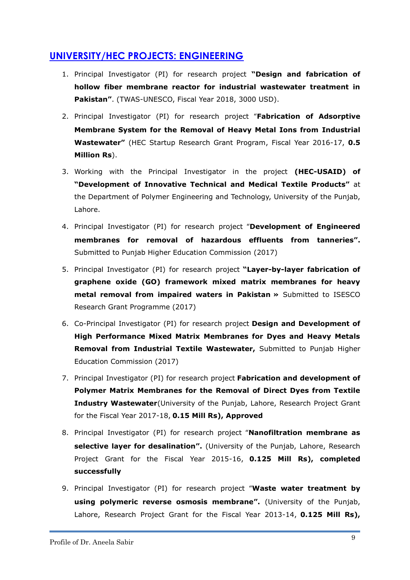# **UNIVERSITY/HEC PROJECTS: ENGINEERING**

- 1. Principal Investigator (PI) for research project **"Design and fabrication of hollow fiber membrane reactor for industrial wastewater treatment in Pakistan"**. (TWAS-UNESCO, Fiscal Year 2018, 3000 USD).
- 2. Principal Investigator (PI) for research project "**Fabrication of Adsorptive Membrane System for the Removal of Heavy Metal Ions from Industrial Wastewater"** (HEC Startup Research Grant Program, Fiscal Year 2016-17, **0.5 Million Rs**).
- 3. Working with the Principal Investigator in the project **(HEC-USAID) of "Development of Innovative Technical and Medical Textile Products"** at the Department of Polymer Engineering and Technology, University of the Punjab, Lahore.
- 4. Principal Investigator (PI) for research project "**Development of Engineered membranes for removal of hazardous effluents from tanneries".** Submitted to Punjab Higher Education Commission (2017)
- 5. Principal Investigator (PI) for research project **"Layer-by-layer fabrication of graphene oxide (GO) framework mixed matrix membranes for heavy metal removal from impaired waters in Pakistan »** Submitted to ISESCO Research Grant Programme (2017)
- 6. Co-Principal Investigator (PI) for research project **Design and Development of High Performance Mixed Matrix Membranes for Dyes and Heavy Metals Removal from Industrial Textile Wastewater,** Submitted to Punjab Higher Education Commission (2017)
- 7. Principal Investigator (PI) for research project **Fabrication and development of Polymer Matrix Membranes for the Removal of Direct Dyes from Textile Industry Wastewater**(University of the Punjab, Lahore, Research Project Grant for the Fiscal Year 2017-18, **0.15 Mill Rs), Approved**
- 8. Principal Investigator (PI) for research project "**Nanofiltration membrane as selective layer for desalination".** (University of the Punjab, Lahore, Research Project Grant for the Fiscal Year 2015-16, **0.125 Mill Rs), completed successfully**
- 9. Principal Investigator (PI) for research project "**Waste water treatment by using polymeric reverse osmosis membrane".** (University of the Punjab, Lahore, Research Project Grant for the Fiscal Year 2013-14, **0.125 Mill Rs),**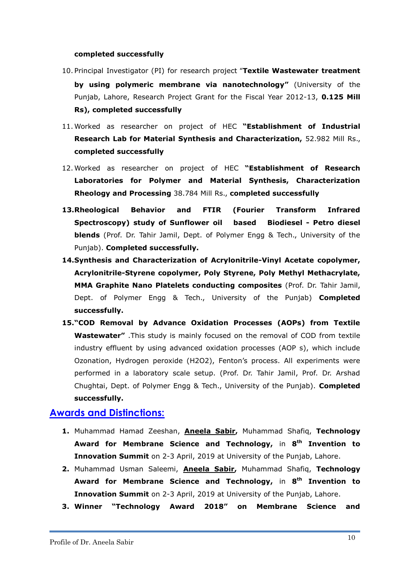#### **completed successfully**

- 10. Principal Investigator (PI) for research project "**Textile Wastewater treatment by using polymeric membrane via nanotechnology"** (University of the Punjab, Lahore, Research Project Grant for the Fiscal Year 2012-13, **0.125 Mill Rs), completed successfully**
- 11. Worked as researcher on project of HEC **"Establishment of Industrial Research Lab for Material Synthesis and Characterization,** 52.982 Mill Rs., **completed successfully**
- 12. Worked as researcher on project of HEC **"Establishment of Research Laboratories for Polymer and Material Synthesis, Characterization Rheology and Processing** 38.784 Mill Rs., **completed successfully**
- **13.Rheological Behavior and FTIR (Fourier Transform Infrared Spectroscopy) study of Sunflower oil based Biodiesel - Petro diesel blends** (Prof. Dr. Tahir Jamil, Dept. of Polymer Engg & Tech., University of the Punjab). **Completed successfully.**
- **14.Synthesis and Characterization of Acrylonitrile-Vinyl Acetate copolymer, Acrylonitrile-Styrene copolymer, Poly Styrene, Poly Methyl Methacrylate, MMA Graphite Nano Platelets conducting composites** (Prof. Dr. Tahir Jamil, Dept. of Polymer Engg & Tech., University of the Punjab) **Completed successfully.**
- **15."COD Removal by Advance Oxidation Processes (AOPs) from Textile Wastewater"** .This study is mainly focused on the removal of COD from textile industry effluent by using advanced oxidation processes (AOP s), which include Ozonation, Hydrogen peroxide (H2O2), Fenton's process. All experiments were performed in a laboratory scale setup. (Prof. Dr. Tahir Jamil, Prof. Dr. Arshad Chughtai, Dept. of Polymer Engg & Tech., University of the Punjab). **Completed successfully.**

#### **Awards and Distinctions:**

- **1.** Muhammad Hamad Zeeshan, **Aneela Sabir,** Muhammad Shafiq, **Technology Award for Membrane Science and Technology,** in **8 th Invention to Innovation Summit** on 2-3 April, 2019 at University of the Punjab, Lahore.
- **2.** Muhammad Usman Saleemi, **Aneela Sabir,** Muhammad Shafiq, **Technology Award for Membrane Science and Technology,** in **8 th Invention to Innovation Summit** on 2-3 April, 2019 at University of the Punjab, Lahore.
- **3. Winner "Technology Award 2018" on Membrane Science and**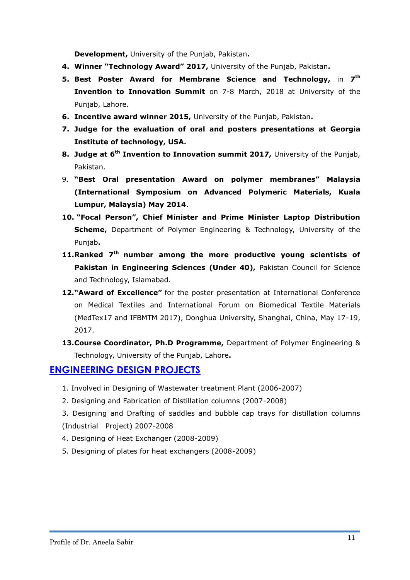**Development,** University of the Punjab, Pakistan**.**

- **4. Winner "Technology Award" 2017,** University of the Punjab, Pakistan**.**
- **5. Best Poster Award for Membrane Science and Technology,** in **7 th Invention to Innovation Summit** on 7-8 March, 2018 at University of the Punjab, Lahore.
- **6. Incentive award winner 2015,** University of the Punjab, Pakistan**.**
- **7. Judge for the evaluation of oral and posters presentations at Georgia Institute of technology, USA.**
- **8. Judge at 6th Invention to Innovation summit 2017,** University of the Punjab, Pakistan.
- 9. **"Best Oral presentation Award on polymer membranes" Malaysia (International Symposium on Advanced Polymeric Materials, Kuala Lumpur, Malaysia) May 2014**.
- **10. "Focal Person", Chief Minister and Prime Minister Laptop Distribution Scheme,** Department of Polymer Engineering & Technology, University of the Punjab**.**
- **11.Ranked 7th number among the more productive young scientists of**  Pakistan in Engineering Sciences (Under 40), Pakistan Council for Science and Technology, Islamabad.
- **12."Award of Excellence"** for the poster presentation at International Conference on Medical Textiles and International Forum on Biomedical Textile Materials (MedTex17 and IFBMTM 2017), Donghua University, Shanghai, China, May 17-19, 2017.
- **13.Course Coordinator, Ph.D Programme,** Department of Polymer Engineering & Technology, University of the Punjab, Lahore**.**

## **ENGINEERING DESIGN PROJECTS**

- 1. Involved in Designing of Wastewater treatment Plant (2006-2007)
- 2. Designing and Fabrication of Distillation columns (2007-2008)
- 3. Designing and Drafting of saddles and bubble cap trays for distillation columns (Industrial Project) 2007-2008
- 4. Designing of Heat Exchanger (2008-2009)
- 5. Designing of plates for heat exchangers (2008-2009)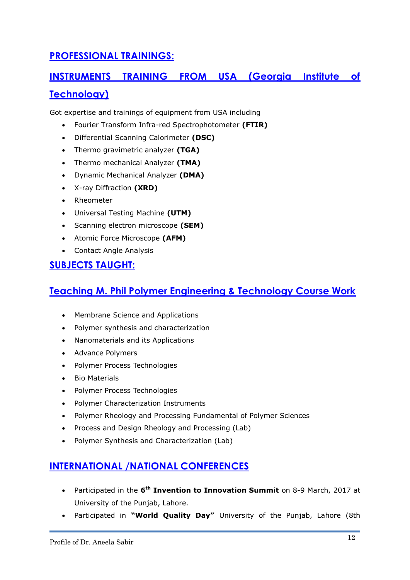# **PROFESSIONAL TRAININGS:**

# **INSTRUMENTS TRAINING FROM USA (Georgia Institute of**

## **Technology)**

Got expertise and trainings of equipment from USA including

- Fourier Transform Infra-red Spectrophotometer **(FTIR)**
- Differential Scanning Calorimeter **(DSC)**
- Thermo gravimetric analyzer **(TGA)**
- Thermo mechanical Analyzer **(TMA)**
- Dynamic Mechanical Analyzer **(DMA)**
- X-ray Diffraction **(XRD)**
- Rheometer
- Universal Testing Machine **(UTM)**
- Scanning electron microscope **(SEM)**
- Atomic Force Microscope **(AFM)**
- Contact Angle Analysis

# **SUBJECTS TAUGHT:**

# **Teaching M. Phil Polymer Engineering & Technology Course Work**

- Membrane Science and Applications
- Polymer synthesis and characterization
- Nanomaterials and its Applications
- Advance Polymers
- Polymer Process Technologies
- Bio Materials
- Polymer Process Technologies
- Polymer Characterization Instruments
- Polymer Rheology and Processing Fundamental of Polymer Sciences
- Process and Design Rheology and Processing (Lab)
- Polymer Synthesis and Characterization (Lab)

# **INTERNATIONAL /NATIONAL CONFERENCES**

- Participated in the 6<sup>th</sup> Invention to Innovation Summit on 8-9 March, 2017 at University of the Punjab, Lahore.
- Participated in **"World Quality Day"** University of the Punjab, Lahore (8th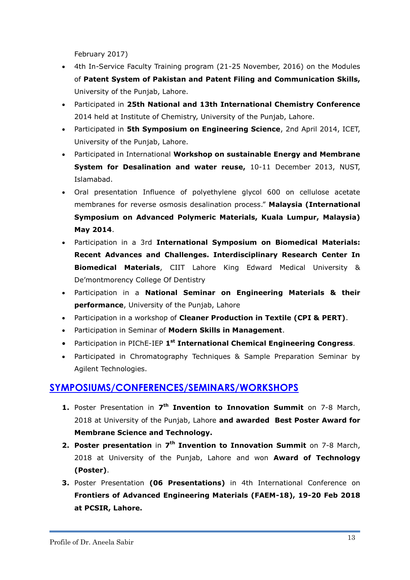February 2017)

- 4th In-Service Faculty Training program (21-25 November, 2016) on the Modules of **Patent System of Pakistan and Patent Filing and Communication Skills,** University of the Punjab, Lahore.
- Participated in **25th National and 13th International Chemistry Conference** 2014 held at Institute of Chemistry, University of the Punjab, Lahore.
- Participated in **5th Symposium on Engineering Science**, 2nd April 2014, ICET, University of the Punjab, Lahore.
- Participated in International **Workshop on sustainable Energy and Membrane System for Desalination and water reuse,** 10-11 December 2013, NUST, Islamabad.
- Oral presentation Influence of polyethylene glycol 600 on cellulose acetate membranes for reverse osmosis desalination process." **Malaysia (International Symposium on Advanced Polymeric Materials, Kuala Lumpur, Malaysia) May 2014**.
- Participation in a 3rd **International Symposium on Biomedical Materials: Recent Advances and Challenges. Interdisciplinary Research Center In Biomedical Materials**, CIIT Lahore King Edward Medical University & De'montmorency College Of Dentistry
- Participation in a **National Seminar on Engineering Materials & their performance**, University of the Punjab, Lahore
- Participation in a workshop of **Cleaner Production in Textile (CPI & PERT)**.
- Participation in Seminar of **Modern Skills in Management**.
- Participation in PIChE-IEP **1 st International Chemical Engineering Congress**.
- Participated in Chromatography Techniques & Sample Preparation Seminar by Agilent Technologies.

# **SYMPOSIUMS/CONFERENCES/SEMINARS/WORKSHOPS**

- 1. Poster Presentation in 7<sup>th</sup> Invention to Innovation Summit on 7-8 March, 2018 at University of the Punjab, Lahore **and awarded Best Poster Award for Membrane Science and Technology.**
- **2. Poster presentation** in **7 th Invention to Innovation Summit** on 7-8 March, 2018 at University of the Punjab, Lahore and won **Award of Technology (Poster)**.
- **3.** Poster Presentation **(06 Presentations)** in 4th International Conference on **Frontiers of Advanced Engineering Materials (FAEM-18), 19-20 Feb 2018 at PCSIR, Lahore.**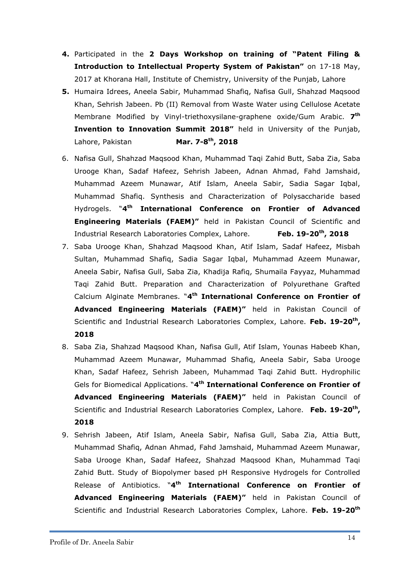- **4.** Participated in the **2 Days Workshop on training of "Patent Filing & Introduction to Intellectual Property System of Pakistan"** on 17-18 May, 2017 at Khorana Hall, Institute of Chemistry, University of the Punjab, Lahore
- **5.** Humaira Idrees, Aneela Sabir, Muhammad Shafiq, Nafisa Gull, Shahzad Maqsood Khan, Sehrish Jabeen. Pb (II) Removal from Waste Water using Cellulose Acetate Membrane Modified by Vinyl-triethoxysilane-graphene oxide/Gum Arabic. **7 th Invention to Innovation Summit 2018"** held in University of the Punjab, Lahore, Pakistan **th, 2018**
- 6. Nafisa Gull, Shahzad Maqsood Khan, Muhammad Taqi Zahid Butt, Saba Zia, Saba Urooge Khan, Sadaf Hafeez, Sehrish Jabeen, Adnan Ahmad, Fahd Jamshaid, Muhammad Azeem Munawar, Atif Islam, Aneela Sabir, Sadia Sagar Iqbal, Muhammad Shafiq. Synthesis and Characterization of Polysaccharide based Hydrogels. "**4 th International Conference on Frontier of Advanced Engineering Materials (FAEM)"** held in Pakistan Council of Scientific and Industrial Research Laboratories Complex, Lahore. **Feb. 19-20th, 2018**
- 7. Saba Urooge Khan, Shahzad Maqsood Khan, Atif Islam, Sadaf Hafeez, Misbah Sultan, Muhammad Shafiq, Sadia Sagar Iqbal, Muhammad Azeem Munawar, Aneela Sabir, Nafisa Gull, Saba Zia, Khadija Rafiq, Shumaila Fayyaz, Muhammad Taqi Zahid Butt. Preparation and Characterization of Polyurethane Grafted Calcium Alginate Membranes. "**4 th International Conference on Frontier of Advanced Engineering Materials (FAEM)"** held in Pakistan Council of Scientific and Industrial Research Laboratories Complex, Lahore. **Feb. 19-20th , 2018**
- 8. Saba Zia, Shahzad Maqsood Khan, Nafisa Gull, Atif Islam, Younas Habeeb Khan, Muhammad Azeem Munawar, Muhammad Shafiq, Aneela Sabir, Saba Urooge Khan, Sadaf Hafeez, Sehrish Jabeen, Muhammad Taqi Zahid Butt. Hydrophilic Gels for Biomedical Applications. "**4 th International Conference on Frontier of Advanced Engineering Materials (FAEM)"** held in Pakistan Council of Scientific and Industrial Research Laboratories Complex, Lahore. **Feb. 19-20th , 2018**
- 9. Sehrish Jabeen, Atif Islam, Aneela Sabir, Nafisa Gull, Saba Zia, Attia Butt, Muhammad Shafiq, Adnan Ahmad, Fahd Jamshaid, Muhammad Azeem Munawar, Saba Urooge Khan, Sadaf Hafeez, Shahzad Maqsood Khan, Muhammad Taqi Zahid Butt. Study of Biopolymer based pH Responsive Hydrogels for Controlled Release of Antibiotics. "**4 th International Conference on Frontier of Advanced Engineering Materials (FAEM)"** held in Pakistan Council of Scientific and Industrial Research Laboratories Complex, Lahore. **Feb. 19-20th**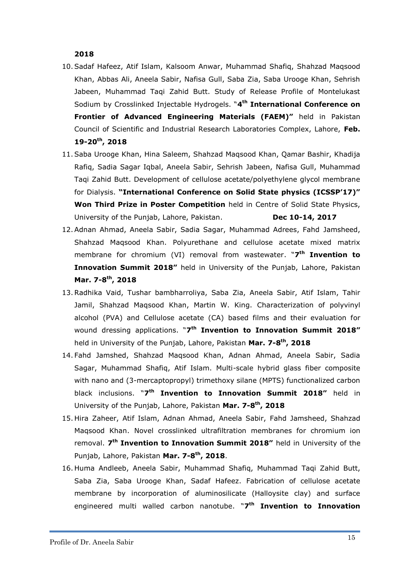**2018**

- 10.Sadaf Hafeez, Atif Islam, Kalsoom Anwar, Muhammad Shafiq, Shahzad Maqsood Khan, Abbas Ali, Aneela Sabir, Nafisa Gull, Saba Zia, Saba Urooge Khan, Sehrish Jabeen, Muhammad Taqi Zahid Butt. Study of Release Profile of Montelukast Sodium by Crosslinked Injectable Hydrogels. "**4 th International Conference on Frontier of Advanced Engineering Materials (FAEM)"** held in Pakistan Council of Scientific and Industrial Research Laboratories Complex, Lahore, **Feb. 19-20th, 2018**
- 11.Saba Urooge Khan, Hina Saleem, Shahzad Maqsood Khan, Qamar Bashir, Khadija Rafiq, Sadia Sagar Iqbal, Aneela Sabir, Sehrish Jabeen, Nafisa Gull, Muhammad Taqi Zahid Butt. Development of cellulose acetate/polyethylene glycol membrane for Dialysis. **"International Conference on Solid State physics (ICSSP'17)" Won Third Prize in Poster Competition** held in Centre of Solid State Physics, University of the Punjab, Lahore, Pakistan. **Dec 10-14, 2017**
- 12.Adnan Ahmad, Aneela Sabir, Sadia Sagar, Muhammad Adrees, Fahd Jamsheed, Shahzad Maqsood Khan. Polyurethane and cellulose acetate mixed matrix membrane for chromium (VI) removal from wastewater. "**7 th Invention to Innovation Summit 2018"** held in University of the Punjab, Lahore, Pakistan **Mar. 7-8 th, 2018**
- 13.Radhika Vaid, Tushar bambharroliya, Saba Zia, Aneela Sabir, Atif Islam, Tahir Jamil, Shahzad Maqsood Khan, Martin W. King. Characterization of polyvinyl alcohol (PVA) and Cellulose acetate (CA) based films and their evaluation for wound dressing applications. "**7 th Invention to Innovation Summit 2018"** held in University of the Punjab, Lahore, Pakistan **Mar. 7-8 th, 2018**
- 14. Fahd Jamshed, Shahzad Maqsood Khan, Adnan Ahmad, Aneela Sabir, Sadia Sagar, Muhammad Shafiq, Atif Islam. Multi-scale hybrid glass fiber composite with nano and (3-mercaptopropyl) trimethoxy silane (MPTS) functionalized carbon black inclusions. "**7 th Invention to Innovation Summit 2018"** held in University of the Punjab, Lahore, Pakistan **Mar. 7-8 th, 2018**
- 15. Hira Zaheer, Atif Islam, Adnan Ahmad, Aneela Sabir, Fahd Jamsheed, Shahzad Maqsood Khan. Novel crosslinked ultrafiltration membranes for chromium ion removal. **7 th Invention to Innovation Summit 2018"** held in University of the Punjab, Lahore, Pakistan **Mar. 7-8 th, 2018**.
- 16. Huma Andleeb, Aneela Sabir, Muhammad Shafiq, Muhammad Taqi Zahid Butt, Saba Zia, Saba Urooge Khan, Sadaf Hafeez. Fabrication of cellulose acetate membrane by incorporation of aluminosilicate (Halloysite clay) and surface engineered multi walled carbon nanotube. "**7 th Invention to Innovation**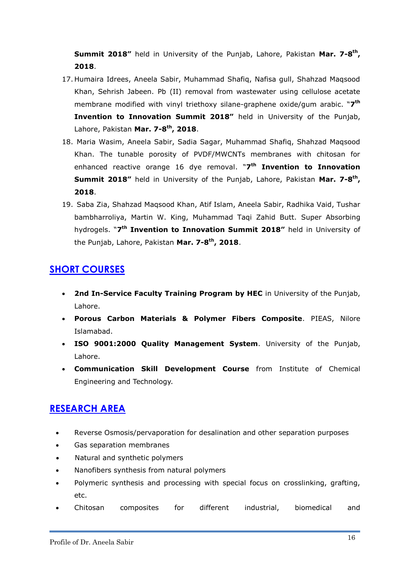**Summit 2018"** held in University of the Punjab, Lahore, Pakistan Mar. 7-8<sup>th</sup>, **2018**.

- 17. Humaira Idrees, Aneela Sabir, Muhammad Shafiq, Nafisa gull, Shahzad Maqsood Khan, Sehrish Jabeen. Pb (II) removal from wastewater using cellulose acetate membrane modified with vinyl triethoxy silane-graphene oxide/gum arabic. "**7 th Invention to Innovation Summit 2018"** held in University of the Punjab, Lahore, Pakistan **Mar. 7-8 th, 2018**.
- 18. Maria Wasim, Aneela Sabir, Sadia Sagar, Muhammad Shafiq, Shahzad Maqsood Khan. The tunable porosity of PVDF/MWCNTs membranes with chitosan for enhanced reactive orange 16 dye removal. "**7 th Invention to Innovation Summit 2018"** held in University of the Punjab, Lahore, Pakistan Mar. 7-8<sup>th</sup>, **2018**.
- 19. Saba Zia, Shahzad Maqsood Khan, Atif Islam, Aneela Sabir, Radhika Vaid, Tushar bambharroliya, Martin W. King, Muhammad Taqi Zahid Butt. Super Absorbing hydrogels. "**7 th Invention to Innovation Summit 2018"** held in University of the Punjab, Lahore, Pakistan **Mar. 7-8 th, 2018**.

# **SHORT COURSES**

- **2nd In-Service Faculty Training Program by HEC** in University of the Punjab, Lahore.
- **Porous Carbon Materials & Polymer Fibers Composite**. PIEAS, Nilore Islamabad.
- **ISO 9001:2000 Quality Management System**. University of the Punjab, Lahore.
- **Communication Skill Development Course** from Institute of Chemical Engineering and Technology.

# **RESEARCH AREA**

- Reverse Osmosis/pervaporation for desalination and other separation purposes
- Gas separation membranes
- Natural and synthetic polymers
- Nanofibers synthesis from natural polymers
- Polymeric synthesis and processing with special focus on crosslinking, grafting, etc.
- Chitosan composites for different industrial, biomedical and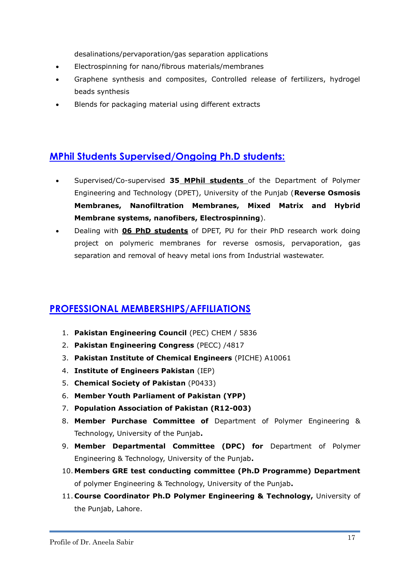desalinations/pervaporation/gas separation applications

- Electrospinning for nano/fibrous materials/membranes
- Graphene synthesis and composites, Controlled release of fertilizers, hydrogel beads synthesis
- Blends for packaging material using different extracts

# **MPhil Students Supervised/Ongoing Ph.D students:**

- Supervised/Co-supervised **35 MPhil students** of the Department of Polymer Engineering and Technology (DPET), University of the Punjab (**Reverse Osmosis Membranes, Nanofiltration Membranes, Mixed Matrix and Hybrid Membrane systems, nanofibers, Electrospinning**).
- Dealing with **06 PhD students** of DPET, PU for their PhD research work doing project on polymeric membranes for reverse osmosis, pervaporation, gas separation and removal of heavy metal ions from Industrial wastewater.

# **PROFESSIONAL MEMBERSHIPS/AFFILIATIONS**

- 1. **Pakistan Engineering Council** (PEC) CHEM / 5836
- 2. **Pakistan Engineering Congress** (PECC) /4817
- 3. **Pakistan Institute of Chemical Engineers** (PICHE) A10061
- 4. **Institute of Engineers Pakistan** (IEP)
- 5. **Chemical Society of Pakistan** (P0433)
- 6. **Member Youth Parliament of Pakistan (YPP)**
- 7. **Population Association of Pakistan (R12-003)**
- 8. **Member Purchase Committee of** Department of Polymer Engineering & Technology, University of the Punjab**.**
- 9. **Member Departmental Committee (DPC) for** Department of Polymer Engineering & Technology, University of the Punjab**.**
- 10. **Members GRE test conducting committee (Ph.D Programme) Department** of polymer Engineering & Technology, University of the Punjab**.**
- 11. **Course Coordinator Ph.D Polymer Engineering & Technology,** University of the Punjab, Lahore.